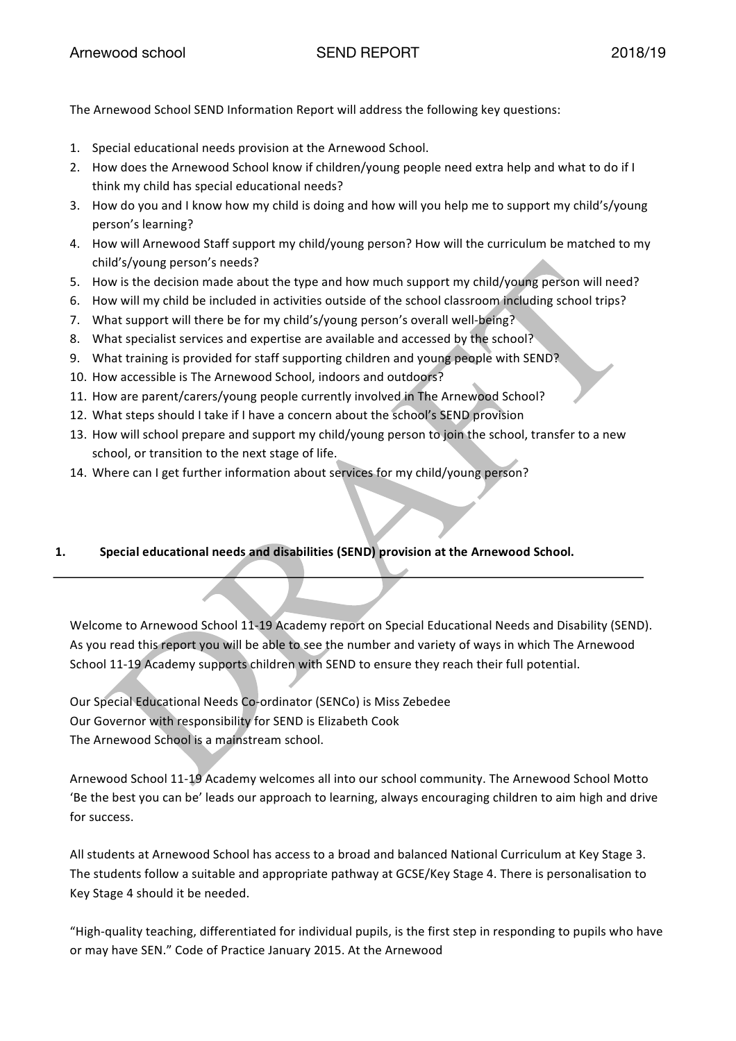The Arnewood School SEND Information Report will address the following key questions:

- 1. Special educational needs provision at the Arnewood School.
- 2. How does the Arnewood School know if children/young people need extra help and what to do if I think my child has special educational needs?
- 3. How do you and I know how my child is doing and how will you help me to support my child's/young person's learning?
- 4. How will Arnewood Staff support my child/young person? How will the curriculum be matched to my child's/young person's needs?
- 5. How is the decision made about the type and how much support my child/young person will need?
- 6. How will my child be included in activities outside of the school classroom including school trips?
- 7. What support will there be for my child's/young person's overall well-being?
- 8. What specialist services and expertise are available and accessed by the school?
- 9. What training is provided for staff supporting children and young people with SEND?
- 10. How accessible is The Arnewood School, indoors and outdoors?
- 11. How are parent/carers/young people currently involved in The Arnewood School?
- 12. What steps should I take if I have a concern about the school's SEND provision
- 13. How will school prepare and support my child/young person to join the school, transfer to a new school, or transition to the next stage of life.
- 14. Where can I get further information about services for my child/young person?

# **1. Special educational needs and disabilities (SEND) provision at the Arnewood School.**

Welcome to Arnewood School 11-19 Academy report on Special Educational Needs and Disability (SEND). As you read this report you will be able to see the number and variety of ways in which The Arnewood School 11-19 Academy supports children with SEND to ensure they reach their full potential.

Our Special Educational Needs Co-ordinator (SENCo) is Miss Zebedee Our Governor with responsibility for SEND is Elizabeth Cook The Arnewood School is a mainstream school.

Arnewood School 11-19 Academy welcomes all into our school community. The Arnewood School Motto 'Be the best you can be' leads our approach to learning, always encouraging children to aim high and drive for success.

All students at Arnewood School has access to a broad and balanced National Curriculum at Key Stage 3. The students follow a suitable and appropriate pathway at GCSE/Key Stage 4. There is personalisation to Key Stage 4 should it be needed.

"High-quality teaching, differentiated for individual pupils, is the first step in responding to pupils who have or may have SEN." Code of Practice January 2015. At the Arnewood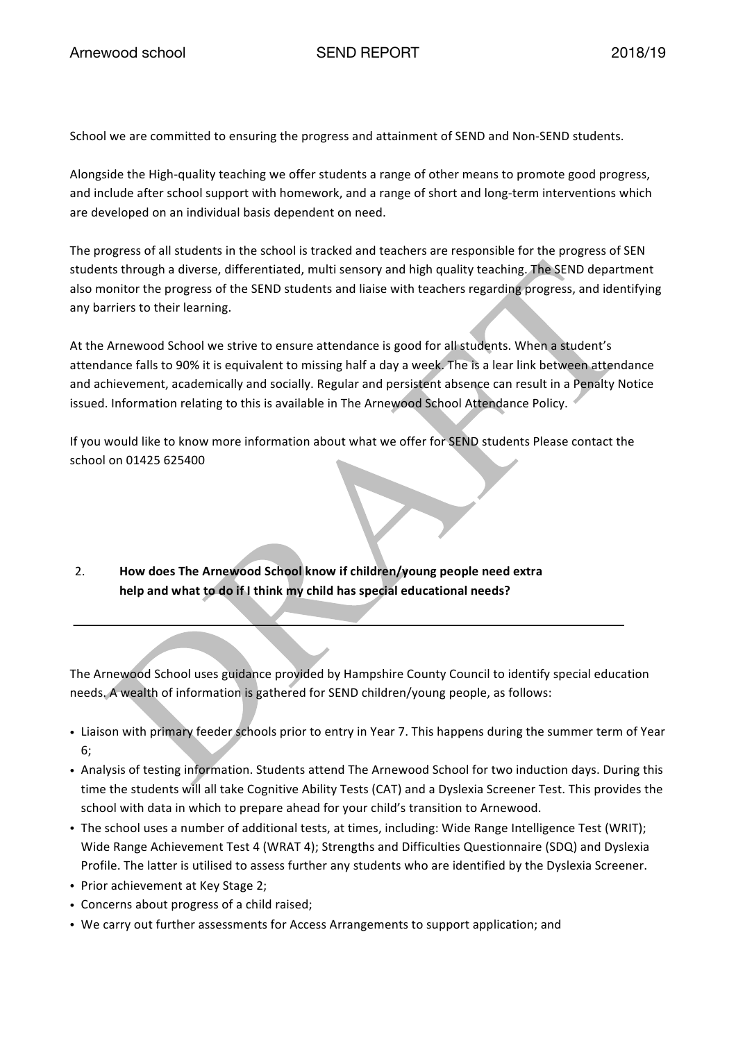School we are committed to ensuring the progress and attainment of SEND and Non-SEND students.

Alongside the High-quality teaching we offer students a range of other means to promote good progress, and include after school support with homework, and a range of short and long-term interventions which are developed on an individual basis dependent on need.

The progress of all students in the school is tracked and teachers are responsible for the progress of SEN students through a diverse, differentiated, multi sensory and high quality teaching. The SEND department also monitor the progress of the SEND students and liaise with teachers regarding progress, and identifying any barriers to their learning.

At the Arnewood School we strive to ensure attendance is good for all students. When a student's attendance falls to 90% it is equivalent to missing half a day a week. The is a lear link between attendance and achievement, academically and socially. Regular and persistent absence can result in a Penalty Notice issued. Information relating to this is available in The Arnewood School Attendance Policy.

If you would like to know more information about what we offer for SEND students Please contact the school on 01425 625400

2. **How does The Arnewood School know if children/young people need extra help and what to do if I think my child has special educational needs?**

The Arnewood School uses guidance provided by Hampshire County Council to identify special education needs. A wealth of information is gathered for SEND children/young people, as follows:

- Liaison with primary feeder schools prior to entry in Year 7. This happens during the summer term of Year 6;
- Analysis of testing information. Students attend The Arnewood School for two induction days. During this time the students will all take Cognitive Ability Tests (CAT) and a Dyslexia Screener Test. This provides the school with data in which to prepare ahead for your child's transition to Arnewood.
- The school uses a number of additional tests, at times, including: Wide Range Intelligence Test (WRIT); Wide Range Achievement Test 4 (WRAT 4); Strengths and Difficulties Questionnaire (SDQ) and Dyslexia Profile. The latter is utilised to assess further any students who are identified by the Dyslexia Screener.
- Prior achievement at Key Stage 2;
- Concerns about progress of a child raised;
- We carry out further assessments for Access Arrangements to support application; and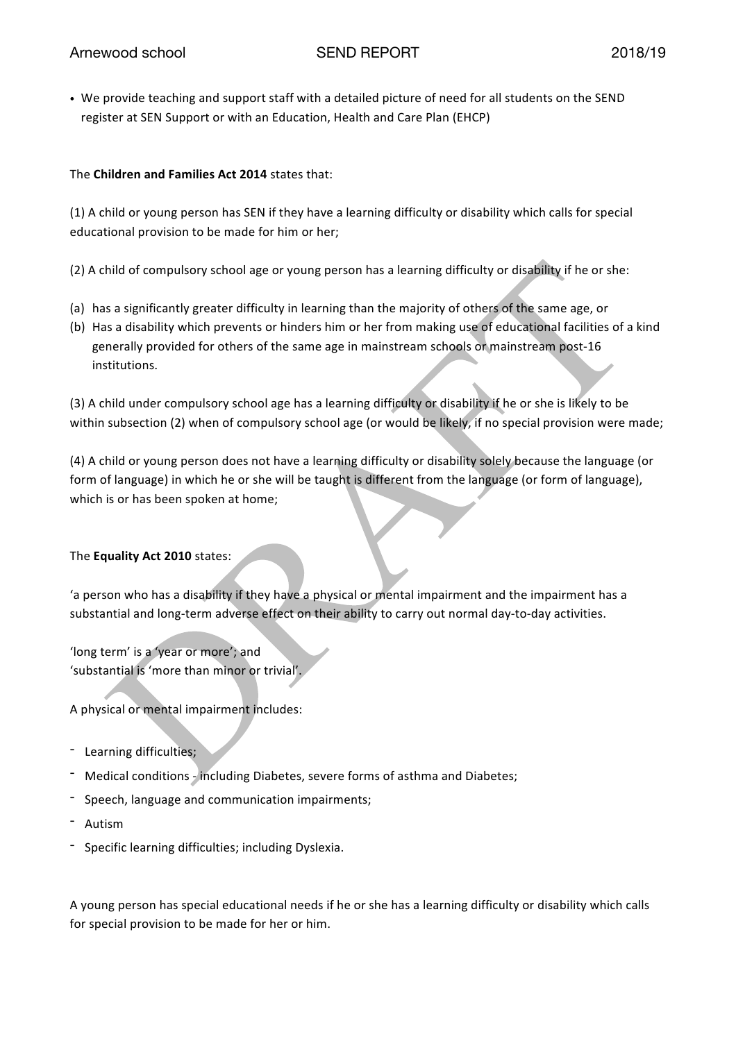• We provide teaching and support staff with a detailed picture of need for all students on the SEND register at SEN Support or with an Education, Health and Care Plan (EHCP)

## The **Children and Families Act 2014** states that:

(1) A child or young person has SEN if they have a learning difficulty or disability which calls for special educational provision to be made for him or her;

(2) A child of compulsory school age or young person has a learning difficulty or disability if he or she:

- (a) has a significantly greater difficulty in learning than the majority of others of the same age, or
- (b) Has a disability which prevents or hinders him or her from making use of educational facilities of a kind generally provided for others of the same age in mainstream schools or mainstream post-16 institutions.

(3) A child under compulsory school age has a learning difficulty or disability if he or she is likely to be within subsection (2) when of compulsory school age (or would be likely, if no special provision were made;

(4) A child or young person does not have a learning difficulty or disability solely because the language (or form of language) in which he or she will be taught is different from the language (or form of language), which is or has been spoken at home;

# The **Equality Act 2010** states:

'a person who has a disability if they have a physical or mental impairment and the impairment has a substantial and long-term adverse effect on their ability to carry out normal day-to-day activities.

'long term' is a 'year or more'; and 'substantial is 'more than minor or trivial'.

A physical or mental impairment includes:

- Learning difficulties;
- Medical conditions including Diabetes, severe forms of asthma and Diabetes;
- Speech, language and communication impairments;
- Autism
- Specific learning difficulties; including Dyslexia.

A young person has special educational needs if he or she has a learning difficulty or disability which calls for special provision to be made for her or him.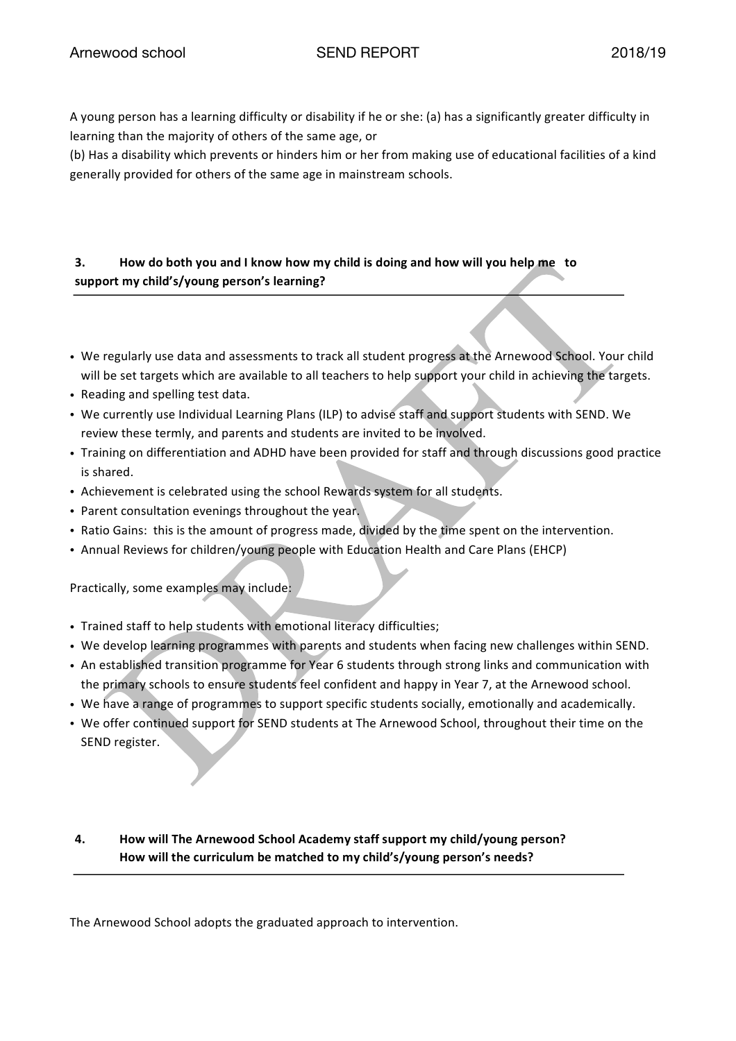A young person has a learning difficulty or disability if he or she: (a) has a significantly greater difficulty in learning than the majority of others of the same age, or

(b) Has a disability which prevents or hinders him or her from making use of educational facilities of a kind generally provided for others of the same age in mainstream schools.

# **3. How do both you and I know how my child is doing and how will you help me to support my child's/young person's learning?**

- We regularly use data and assessments to track all student progress at the Arnewood School. Your child will be set targets which are available to all teachers to help support your child in achieving the targets.
- Reading and spelling test data.
- We currently use Individual Learning Plans (ILP) to advise staff and support students with SEND. We review these termly, and parents and students are invited to be involved.
- Training on differentiation and ADHD have been provided for staff and through discussions good practice is shared.
- Achievement is celebrated using the school Rewards system for all students.
- Parent consultation evenings throughout the year.
- Ratio Gains: this is the amount of progress made, divided by the time spent on the intervention.
- Annual Reviews for children/young people with Education Health and Care Plans (EHCP)

Practically, some examples may include:

- Trained staff to help students with emotional literacy difficulties;
- We develop learning programmes with parents and students when facing new challenges within SEND.
- An established transition programme for Year 6 students through strong links and communication with the primary schools to ensure students feel confident and happy in Year 7, at the Arnewood school.
- We have a range of programmes to support specific students socially, emotionally and academically.
- We offer continued support for SEND students at The Arnewood School, throughout their time on the SEND register.
- **4. How will The Arnewood School Academy staff support my child/young person? How will the curriculum be matched to my child's/young person's needs?**

The Arnewood School adopts the graduated approach to intervention.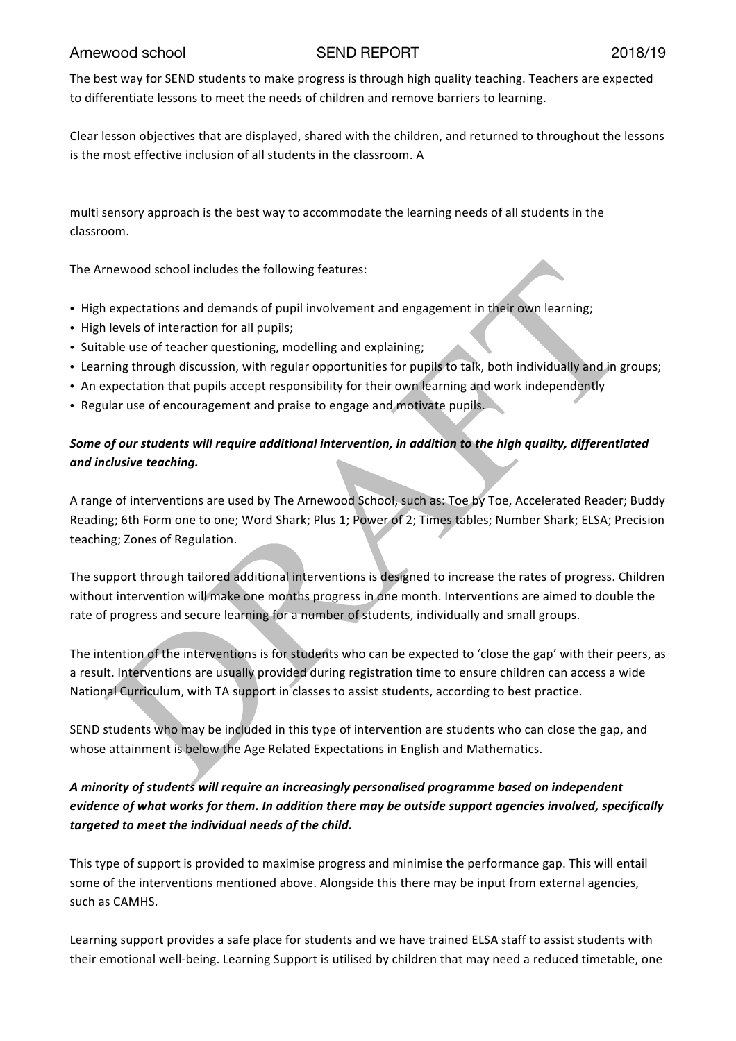The best way for SEND students to make progress is through high quality teaching. Teachers are expected to differentiate lessons to meet the needs of children and remove barriers to learning.

Clear lesson objectives that are displayed, shared with the children, and returned to throughout the lessons is the most effective inclusion of all students in the classroom. A

multi sensory approach is the best way to accommodate the learning needs of all students in the classroom.

The Arnewood school includes the following features:

- High expectations and demands of pupil involvement and engagement in their own learning;
- High levels of interaction for all pupils;
- Suitable use of teacher questioning, modelling and explaining;
- Learning through discussion, with regular opportunities for pupils to talk, both individually and in groups;
- An expectation that pupils accept responsibility for their own learning and work independently
- Regular use of encouragement and praise to engage and motivate pupils.

# *Some of our students will require additional intervention, in addition to the high quality, differentiated and inclusive teaching.*

A range of interventions are used by The Arnewood School, such as: Toe by Toe, Accelerated Reader; Buddy Reading; 6th Form one to one; Word Shark; Plus 1; Power of 2; Times tables; Number Shark; ELSA; Precision teaching; Zones of Regulation.

The support through tailored additional interventions is designed to increase the rates of progress. Children without intervention will make one months progress in one month. Interventions are aimed to double the rate of progress and secure learning for a number of students, individually and small groups.

The intention of the interventions is for students who can be expected to 'close the gap' with their peers, as a result. Interventions are usually provided during registration time to ensure children can access a wide National Curriculum, with TA support in classes to assist students, according to best practice.

SEND students who may be included in this type of intervention are students who can close the gap, and whose attainment is below the Age Related Expectations in English and Mathematics.

# *A minority of students will require an increasingly personalised programme based on independent evidence of what works for them. In addition there may be outside support agencies involved, specifically targeted to meet the individual needs of the child.*

This type of support is provided to maximise progress and minimise the performance gap. This will entail some of the interventions mentioned above. Alongside this there may be input from external agencies, such as CAMHS.

Learning support provides a safe place for students and we have trained ELSA staff to assist students with their emotional well-being. Learning Support is utilised by children that may need a reduced timetable, one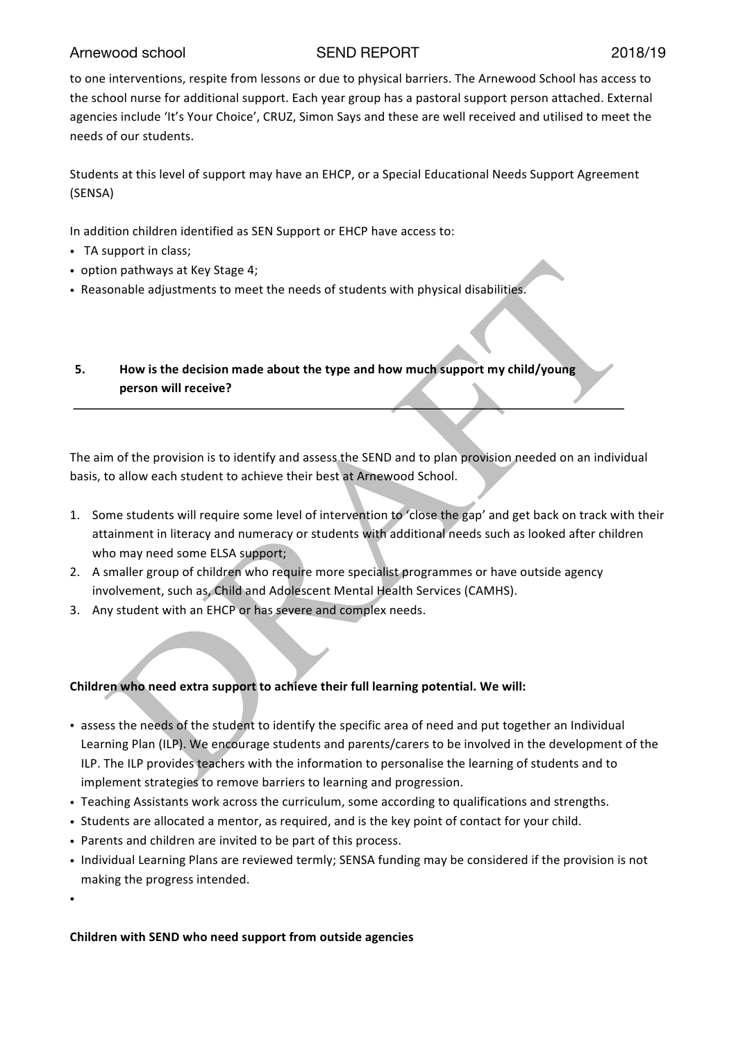to one interventions, respite from lessons or due to physical barriers. The Arnewood School has access to the school nurse for additional support. Each year group has a pastoral support person attached. External agencies include 'It's Your Choice', CRUZ, Simon Says and these are well received and utilised to meet the needs of our students.

Students at this level of support may have an EHCP, or a Special Educational Needs Support Agreement (SENSA)

In addition children identified as SEN Support or EHCP have access to:

- TA support in class;
- option pathways at Key Stage 4;
- Reasonable adjustments to meet the needs of students with physical disabilities.

# **5. How is the decision made about the type and how much support my child/young person will receive?**

The aim of the provision is to identify and assess the SEND and to plan provision needed on an individual basis, to allow each student to achieve their best at Arnewood School.

- 1. Some students will require some level of intervention to 'close the gap' and get back on track with their attainment in literacy and numeracy or students with additional needs such as looked after children who may need some ELSA support;
- 2. A smaller group of children who require more specialist programmes or have outside agency involvement, such as, Child and Adolescent Mental Health Services (CAMHS).
- 3. Any student with an EHCP or has severe and complex needs.

### **Children who need extra support to achieve their full learning potential. We will:**

- assess the needs of the student to identify the specific area of need and put together an Individual Learning Plan (ILP). We encourage students and parents/carers to be involved in the development of the ILP. The ILP provides teachers with the information to personalise the learning of students and to implement strategies to remove barriers to learning and progression.
- Teaching Assistants work across the curriculum, some according to qualifications and strengths.
- Students are allocated a mentor, as required, and is the key point of contact for your child.
- Parents and children are invited to be part of this process.
- Individual Learning Plans are reviewed termly; SENSA funding may be considered if the provision is not making the progress intended.

•

### **Children with SEND who need support from outside agencies**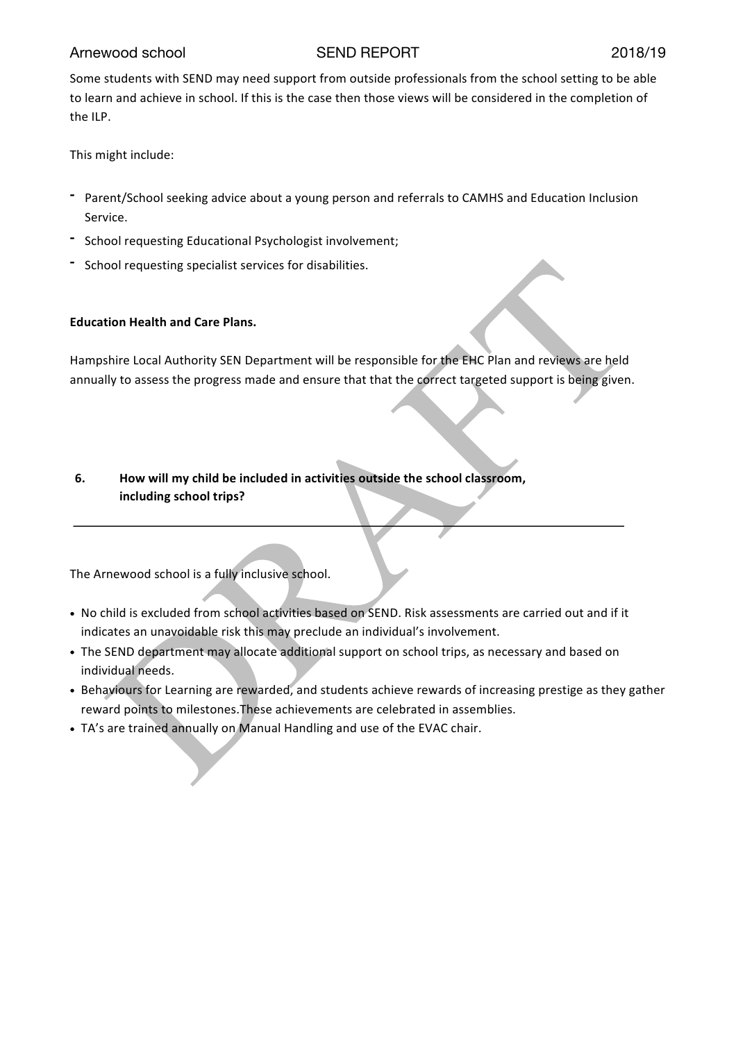Some students with SEND may need support from outside professionals from the school setting to be able to learn and achieve in school. If this is the case then those views will be considered in the completion of the ILP.

This might include:

- **-** Parent/School seeking advice about a young person and referrals to CAMHS and Education Inclusion Service.
- **-** School requesting Educational Psychologist involvement;
- **-** School requesting specialist services for disabilities.

## **Education Health and Care Plans.**

Hampshire Local Authority SEN Department will be responsible for the EHC Plan and reviews are held annually to assess the progress made and ensure that that the correct targeted support is being given.

# **6. How will my child be included in activities outside the school classroom, including school trips?**

The Arnewood school is a fully inclusive school.

- No child is excluded from school activities based on SEND. Risk assessments are carried out and if it indicates an unavoidable risk this may preclude an individual's involvement.
- The SEND department may allocate additional support on school trips, as necessary and based on individual needs.
- Behaviours for Learning are rewarded, and students achieve rewards of increasing prestige as they gather reward points to milestones.These achievements are celebrated in assemblies.
- TA's are trained annually on Manual Handling and use of the EVAC chair.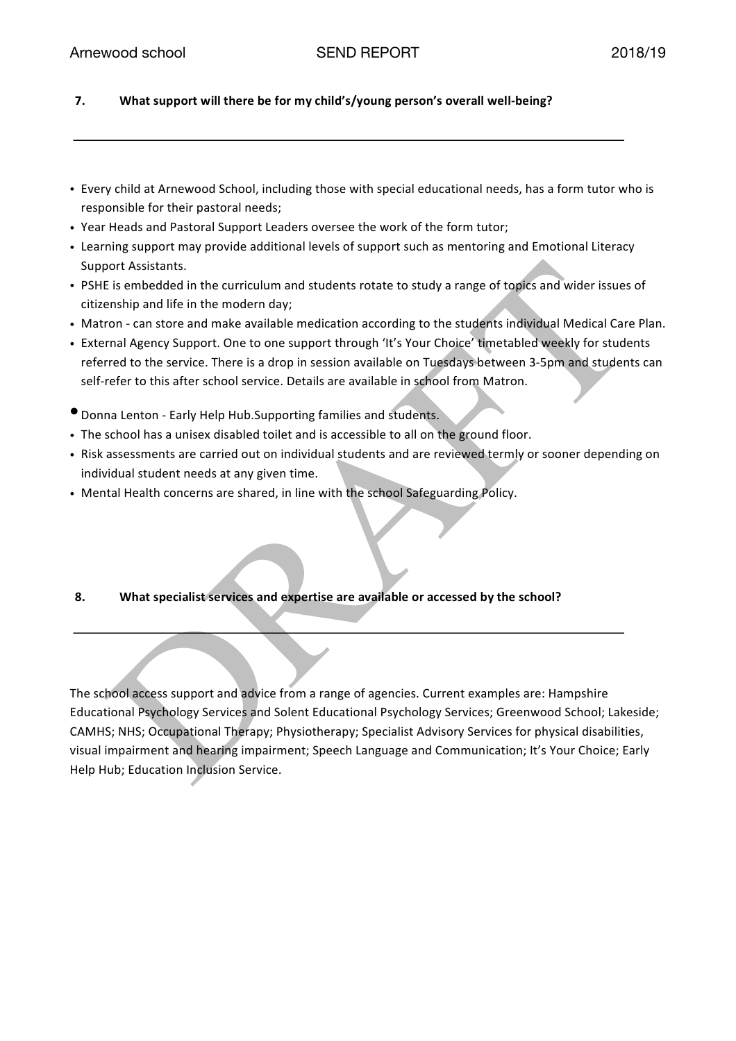## **7. What support will there be for my child's/young person's overall well-being?**

- Every child at Arnewood School, including those with special educational needs, has a form tutor who is responsible for their pastoral needs;
- Year Heads and Pastoral Support Leaders oversee the work of the form tutor;
- Learning support may provide additional levels of support such as mentoring and Emotional Literacy Support Assistants.
- PSHE is embedded in the curriculum and students rotate to study a range of topics and wider issues of citizenship and life in the modern day;
- Matron can store and make available medication according to the students individual Medical Care Plan.
- External Agency Support. One to one support through 'It's Your Choice' timetabled weekly for students referred to the service. There is a drop in session available on Tuesdays between 3-5pm and students can self-refer to this after school service. Details are available in school from Matron.
- •Donna Lenton Early Help Hub.Supporting families and students.
- The school has a unisex disabled toilet and is accessible to all on the ground floor.
- Risk assessments are carried out on individual students and are reviewed termly or sooner depending on individual student needs at any given time.
- Mental Health concerns are shared, in line with the school Safeguarding Policy.
- **8. What specialist services and expertise are available or accessed by the school?**

The school access support and advice from a range of agencies. Current examples are: Hampshire Educational Psychology Services and Solent Educational Psychology Services; Greenwood School; Lakeside; CAMHS; NHS; Occupational Therapy; Physiotherapy; Specialist Advisory Services for physical disabilities, visual impairment and hearing impairment; Speech Language and Communication; It's Your Choice; Early Help Hub; Education Inclusion Service.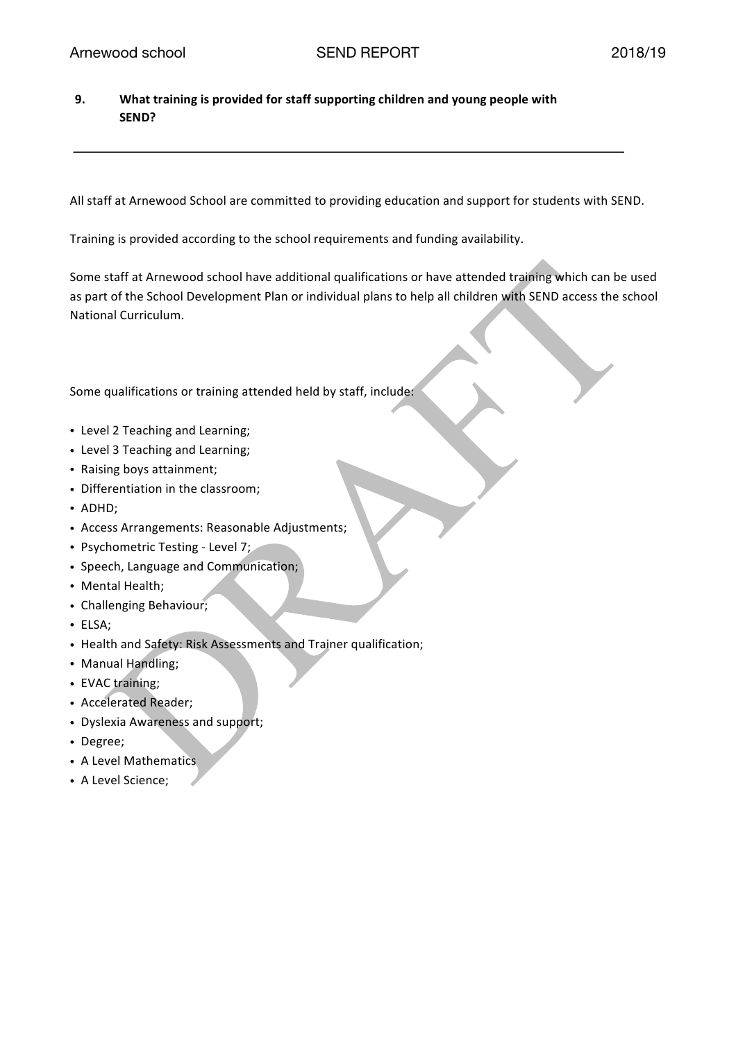**9. What training is provided for staff supporting children and young people with SEND?**

All staff at Arnewood School are committed to providing education and support for students with SEND.

Training is provided according to the school requirements and funding availability.

Some staff at Arnewood school have additional qualifications or have attended training which can be used as part of the School Development Plan or individual plans to help all children with SEND access the school National Curriculum.

Some qualifications or training attended held by staff, include:

- Level 2 Teaching and Learning;
- Level 3 Teaching and Learning;
- Raising boys attainment;
- Differentiation in the classroom;
- ADHD;
- Access Arrangements: Reasonable Adjustments;
- Psychometric Testing Level 7;
- Speech, Language and Communication;
- Mental Health;
- Challenging Behaviour;
- ELSA;
- Health and Safety: Risk Assessments and Trainer qualification;
- Manual Handling;
- EVAC training;
- Accelerated Reader;
- Dyslexia Awareness and support;
- Degree;
- A Level Mathematics
- A Level Science;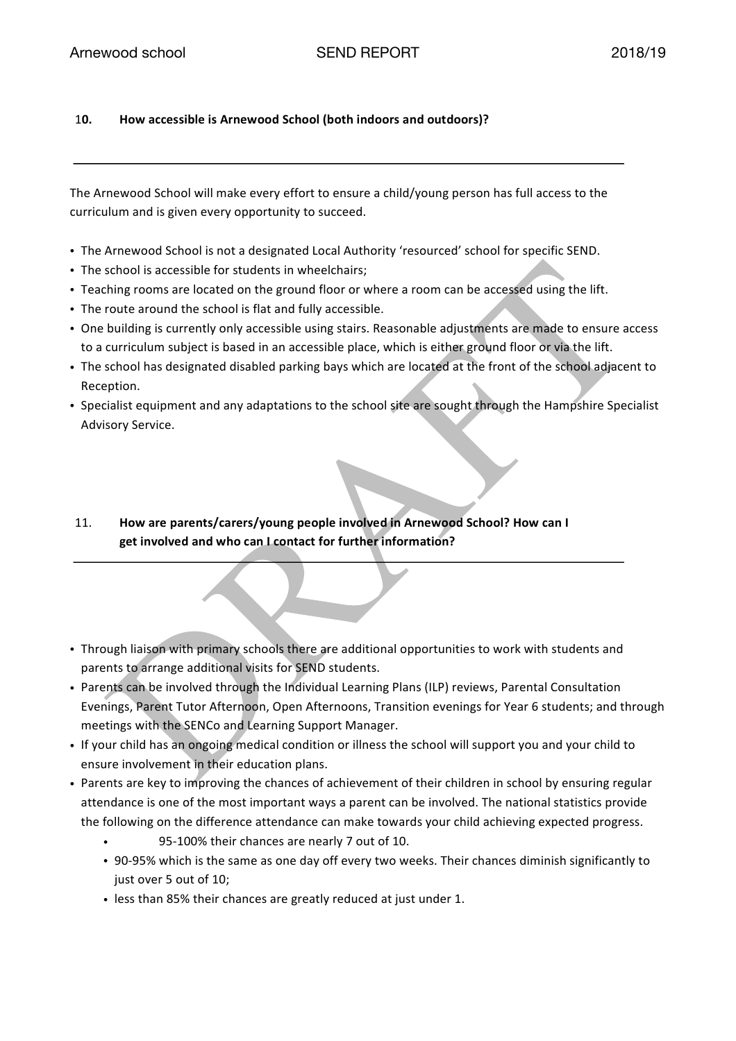## 1**0. How accessible is Arnewood School (both indoors and outdoors)?**

The Arnewood School will make every effort to ensure a child/young person has full access to the curriculum and is given every opportunity to succeed.

- The Arnewood School is not a designated Local Authority 'resourced' school for specific SEND.
- The school is accessible for students in wheelchairs;
- Teaching rooms are located on the ground floor or where a room can be accessed using the lift.
- The route around the school is flat and fully accessible.
- One building is currently only accessible using stairs. Reasonable adjustments are made to ensure access to a curriculum subject is based in an accessible place, which is either ground floor or via the lift.
- The school has designated disabled parking bays which are located at the front of the school adjacent to Reception.
- Specialist equipment and any adaptations to the school site are sought through the Hampshire Specialist Advisory Service.
- 11. **How are parents/carers/young people involved in Arnewood School? How can I get involved and who can I contact for further information?**
- Through liaison with primary schools there are additional opportunities to work with students and parents to arrange additional visits for SEND students.
- Parents can be involved through the Individual Learning Plans (ILP) reviews, Parental Consultation Evenings, Parent Tutor Afternoon, Open Afternoons, Transition evenings for Year 6 students; and through meetings with the SENCo and Learning Support Manager.
- If your child has an ongoing medical condition or illness the school will support you and your child to ensure involvement in their education plans.
- Parents are key to improving the chances of achievement of their children in school by ensuring regular attendance is one of the most important ways a parent can be involved. The national statistics provide the following on the difference attendance can make towards your child achieving expected progress.
	- 95-100% their chances are nearly 7 out of 10.
	- 90-95% which is the same as one day off every two weeks. Their chances diminish significantly to just over 5 out of 10;
	- less than 85% their chances are greatly reduced at just under 1.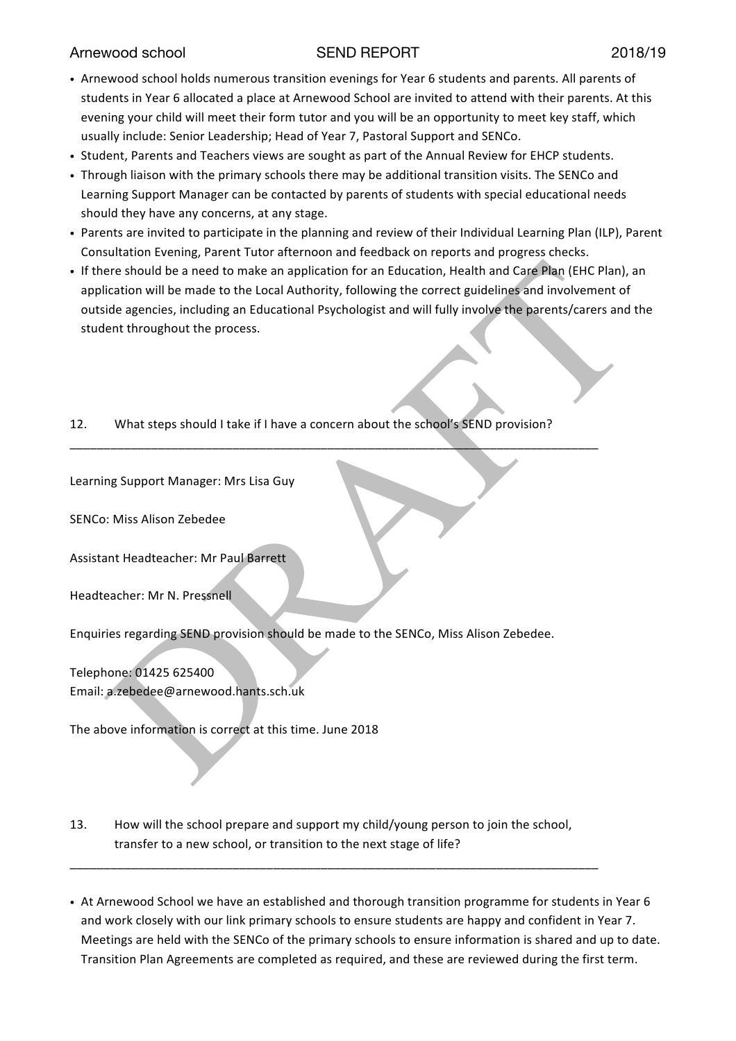- Arnewood school holds numerous transition evenings for Year 6 students and parents. All parents of students in Year 6 allocated a place at Arnewood School are invited to attend with their parents. At this evening your child will meet their form tutor and you will be an opportunity to meet key staff, which usually include: Senior Leadership; Head of Year 7, Pastoral Support and SENCo.
- Student, Parents and Teachers views are sought as part of the Annual Review for EHCP students.
- Through liaison with the primary schools there may be additional transition visits. The SENCo and Learning Support Manager can be contacted by parents of students with special educational needs should they have any concerns, at any stage.
- Parents are invited to participate in the planning and review of their Individual Learning Plan (ILP), Parent Consultation Evening, Parent Tutor afternoon and feedback on reports and progress checks.
- If there should be a need to make an application for an Education, Health and Care Plan (EHC Plan), an application will be made to the Local Authority, following the correct guidelines and involvement of outside agencies, including an Educational Psychologist and will fully involve the parents/carers and the student throughout the process.
- 12. What steps should I take if I have a concern about the school's SEND provision?

\_\_\_\_\_\_\_\_\_\_\_\_\_\_\_\_\_\_\_\_\_\_\_\_\_\_\_\_\_\_\_\_\_\_\_\_\_\_\_\_\_\_\_\_\_\_\_\_\_\_\_\_\_\_\_\_\_\_\_\_\_\_\_\_\_\_\_\_\_\_\_\_\_\_\_\_\_\_

Learning Support Manager: Mrs Lisa Guy

SENCo: Miss Alison Zebedee

Assistant Headteacher: Mr Paul Barrett

Headteacher: Mr N. Pressnell

Enquiries regarding SEND provision should be made to the SENCo, Miss Alison Zebedee.

Telephone: 01425 625400 Email: a.zebedee@arnewood.hants.sch.uk

The above information is correct at this time. June 2018

13. How will the school prepare and support my child/young person to join the school, transfer to a new school, or transition to the next stage of life?

\_\_\_\_\_\_\_\_\_\_\_\_\_\_\_\_\_\_\_\_\_\_\_\_\_\_\_\_\_\_\_\_\_\_\_\_\_\_\_\_\_\_\_\_\_\_\_\_\_\_\_\_\_\_\_\_\_\_\_\_\_\_\_\_\_\_\_\_\_\_\_\_\_\_\_\_\_\_

• At Arnewood School we have an established and thorough transition programme for students in Year 6 and work closely with our link primary schools to ensure students are happy and confident in Year 7. Meetings are held with the SENCo of the primary schools to ensure information is shared and up to date. Transition Plan Agreements are completed as required, and these are reviewed during the first term.